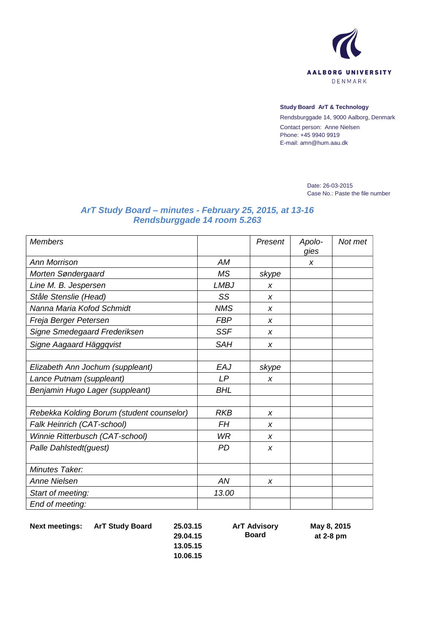

## **Study Board ArT & Technology**

Rendsburggade 14, 9000 Aalborg, Denmark Contact person: Anne Nielsen Phone: +45 9940 9919 E-mail: amn@hum.aau.dk

> Date: 26-03-2015 Case No.: Paste the file number

## *ArT Study Board – minutes - February 25, 2015, at 13-16 Rendsburggade 14 room 5.263*

| <b>Members</b>                            |             | Present | Apolo-<br>gies | Not met |
|-------------------------------------------|-------------|---------|----------------|---------|
| <b>Ann Morrison</b>                       | АM          |         | X              |         |
| Morten Søndergaard                        | <b>MS</b>   | skype   |                |         |
| Line M. B. Jespersen                      | <b>LMBJ</b> | X       |                |         |
| Ståle Stenslie (Head)                     | SS          | X       |                |         |
| Nanna Maria Kofod Schmidt                 | <b>NMS</b>  | X       |                |         |
| Freja Berger Petersen                     | <b>FBP</b>  | X       |                |         |
| Signe Smedegaard Frederiksen              | <b>SSF</b>  | X       |                |         |
| Signe Aagaard Häggqvist                   | <b>SAH</b>  | X       |                |         |
|                                           |             |         |                |         |
| Elizabeth Ann Jochum (suppleant)          | EAJ         | skype   |                |         |
| Lance Putnam (suppleant)                  | LP          | X       |                |         |
| Benjamin Hugo Lager (suppleant)           | <b>BHL</b>  |         |                |         |
|                                           |             |         |                |         |
| Rebekka Kolding Borum (student counselor) | <b>RKB</b>  | X       |                |         |
| Falk Heinrich (CAT-school)                | FН          | X       |                |         |
| Winnie Ritterbusch (CAT-school)           | <b>WR</b>   | X       |                |         |
| Palle Dahlstedt(guest)                    | PD          | X       |                |         |
|                                           |             |         |                |         |
| Minutes Taker:                            |             |         |                |         |
| <b>Anne Nielsen</b>                       | AN          | X       |                |         |
| Start of meeting:                         | 13.00       |         |                |         |
| End of meeting:                           |             |         |                |         |

**Next meetings: ArT Study Board 25.03.15**

**29.04.15 13.05.15 10.06.15** **ArT Advisory Board**

**May 8, 2015 at 2-8 pm**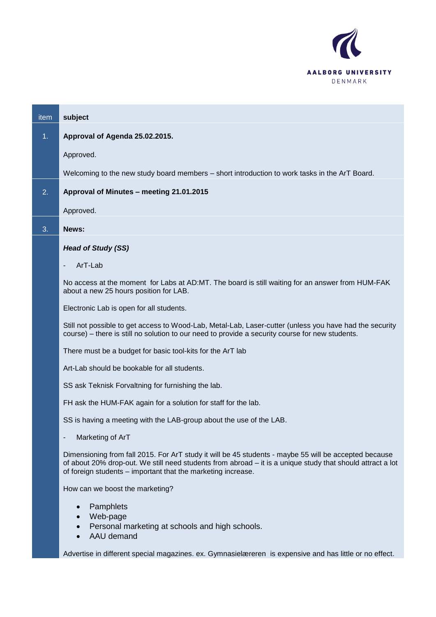

| item           | subject                                                                                                                                                                                                                                                                             |
|----------------|-------------------------------------------------------------------------------------------------------------------------------------------------------------------------------------------------------------------------------------------------------------------------------------|
| 1 <sub>1</sub> | Approval of Agenda 25.02.2015.                                                                                                                                                                                                                                                      |
|                | Approved.                                                                                                                                                                                                                                                                           |
|                | Welcoming to the new study board members - short introduction to work tasks in the ArT Board.                                                                                                                                                                                       |
| 2.             | Approval of Minutes - meeting 21.01.2015                                                                                                                                                                                                                                            |
|                | Approved.                                                                                                                                                                                                                                                                           |
| 3.             | News:                                                                                                                                                                                                                                                                               |
|                | <b>Head of Study (SS)</b>                                                                                                                                                                                                                                                           |
|                | ArT-Lab<br>$\overline{\phantom{a}}$                                                                                                                                                                                                                                                 |
|                | No access at the moment for Labs at AD:MT. The board is still waiting for an answer from HUM-FAK<br>about a new 25 hours position for LAB.                                                                                                                                          |
|                | Electronic Lab is open for all students.                                                                                                                                                                                                                                            |
|                | Still not possible to get access to Wood-Lab, Metal-Lab, Laser-cutter (unless you have had the security<br>course) – there is still no solution to our need to provide a security course for new students.                                                                          |
|                | There must be a budget for basic tool-kits for the ArT lab                                                                                                                                                                                                                          |
|                | Art-Lab should be bookable for all students.                                                                                                                                                                                                                                        |
|                | SS ask Teknisk Forvaltning for furnishing the lab.                                                                                                                                                                                                                                  |
|                | FH ask the HUM-FAK again for a solution for staff for the lab.                                                                                                                                                                                                                      |
|                | SS is having a meeting with the LAB-group about the use of the LAB.                                                                                                                                                                                                                 |
|                | Marketing of ArT                                                                                                                                                                                                                                                                    |
|                | Dimensioning from fall 2015. For ArT study it will be 45 students - maybe 55 will be accepted because<br>of about 20% drop-out. We still need students from abroad – it is a unique study that should attract a lot<br>of foreign students - important that the marketing increase. |
|                | How can we boost the marketing?                                                                                                                                                                                                                                                     |
|                | Pamphlets<br>Web-page<br>Personal marketing at schools and high schools.<br>AAU demand                                                                                                                                                                                              |
|                | Advertise in different special magazines. ex. Gymnasielæreren is expensive and has little or no effect.                                                                                                                                                                             |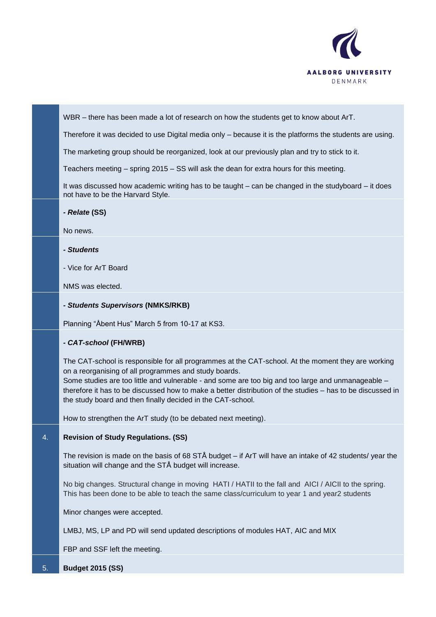

WBR – there has been made a lot of research on how the students get to know about ArT.

Therefore it was decided to use Digital media only – because it is the platforms the students are using.

The marketing group should be reorganized, look at our previously plan and try to stick to it.

Teachers meeting – spring 2015 – SS will ask the dean for extra hours for this meeting.

It was discussed how academic writing has to be taught – can be changed in the studyboard – it does not have to be the Harvard Style.

*- Relate* **(SS)**

No news.

*- Students*

- Vice for ArT Board

NMS was elected.

*- Students Supervisors* **(NMKS/RKB)**

Planning "Åbent Hus" March 5 from 10-17 at KS3.

## *- CAT-school* **(FH/WRB)**

The CAT-school is responsible for all programmes at the CAT-school. At the moment they are working on a reorganising of all programmes and study boards.

Some studies are too little and vulnerable - and some are too big and too large and unmanageable – therefore it has to be discussed how to make a better distribution of the studies – has to be discussed in the study board and then finally decided in the CAT-school.

How to strengthen the ArT study (to be debated next meeting).

## 4. **Revision of Study Regulations. (SS)**

The revision is made on the basis of 68 STÅ budget – if ArT will have an intake of 42 students/ year the situation will change and the STÅ budget will increase.

No big changes. Structural change in moving HATI / HATII to the fall and AICI / AICII to the spring. This has been done to be able to teach the same class/curriculum to year 1 and year2 students

Minor changes were accepted.

LMBJ, MS, LP and PD will send updated descriptions of modules HAT, AIC and MIX

FBP and SSF left the meeting.

5. **Budget 2015 (SS)**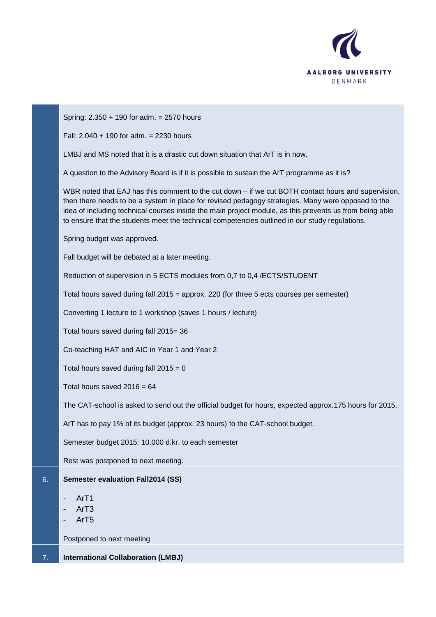

|    | Spring: 2.350 + 190 for adm. = 2570 hours                                                                                                                                                                                                                                                                                                                                                                              |
|----|------------------------------------------------------------------------------------------------------------------------------------------------------------------------------------------------------------------------------------------------------------------------------------------------------------------------------------------------------------------------------------------------------------------------|
|    | Fall: $2.040 + 190$ for adm. = 2230 hours                                                                                                                                                                                                                                                                                                                                                                              |
|    | LMBJ and MS noted that it is a drastic cut down situation that ArT is in now.                                                                                                                                                                                                                                                                                                                                          |
|    | A question to the Advisory Board is if it is possible to sustain the ArT programme as it is?                                                                                                                                                                                                                                                                                                                           |
|    | WBR noted that EAJ has this comment to the cut down - if we cut BOTH contact hours and supervision,<br>then there needs to be a system in place for revised pedagogy strategies. Many were opposed to the<br>idea of including technical courses inside the main project module, as this prevents us from being able<br>to ensure that the students meet the technical competencies outlined in our study regulations. |
|    | Spring budget was approved.                                                                                                                                                                                                                                                                                                                                                                                            |
|    | Fall budget will be debated at a later meeting.                                                                                                                                                                                                                                                                                                                                                                        |
|    | Reduction of supervision in 5 ECTS modules from 0,7 to 0,4 /ECTS/STUDENT                                                                                                                                                                                                                                                                                                                                               |
|    | Total hours saved during fall 2015 = approx. 220 (for three 5 ects courses per semester)                                                                                                                                                                                                                                                                                                                               |
|    | Converting 1 lecture to 1 workshop (saves 1 hours / lecture)                                                                                                                                                                                                                                                                                                                                                           |
|    | Total hours saved during fall 2015= 36                                                                                                                                                                                                                                                                                                                                                                                 |
|    | Co-teaching HAT and AIC in Year 1 and Year 2                                                                                                                                                                                                                                                                                                                                                                           |
|    | Total hours saved during fall $2015 = 0$                                                                                                                                                                                                                                                                                                                                                                               |
|    | Total hours saved $2016 = 64$                                                                                                                                                                                                                                                                                                                                                                                          |
|    | The CAT-school is asked to send out the official budget for hours, expected approx.175 hours for 2015.                                                                                                                                                                                                                                                                                                                 |
|    | ArT has to pay 1% of its budget (approx. 23 hours) to the CAT-school budget.                                                                                                                                                                                                                                                                                                                                           |
|    | Semester budget 2015: 10.000 d.kr. to each semester                                                                                                                                                                                                                                                                                                                                                                    |
|    | Rest was postponed to next meeting.                                                                                                                                                                                                                                                                                                                                                                                    |
| 6. | <b>Semester evaluation Fall2014 (SS)</b>                                                                                                                                                                                                                                                                                                                                                                               |
|    | Ar <sub>T1</sub><br>ArT <sub>3</sub><br>ArT <sub>5</sub>                                                                                                                                                                                                                                                                                                                                                               |
|    | Postponed to next meeting                                                                                                                                                                                                                                                                                                                                                                                              |
| 7. | <b>International Collaboration (LMBJ)</b>                                                                                                                                                                                                                                                                                                                                                                              |

ī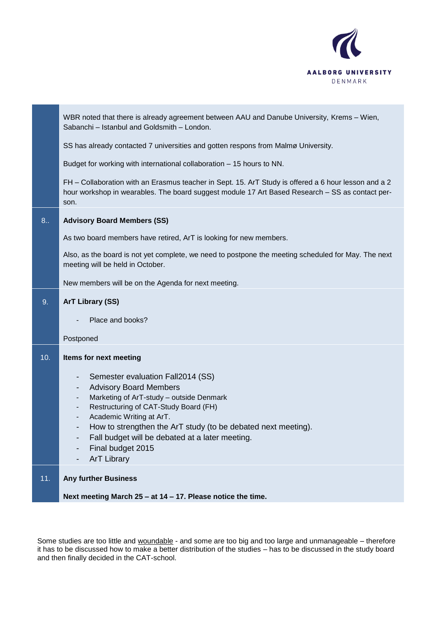

|     | WBR noted that there is already agreement between AAU and Danube University, Krems - Wien,<br>Sabanchi - Istanbul and Goldsmith - London.                                                                                                                                                                                                                                                |
|-----|------------------------------------------------------------------------------------------------------------------------------------------------------------------------------------------------------------------------------------------------------------------------------------------------------------------------------------------------------------------------------------------|
|     | SS has already contacted 7 universities and gotten respons from Malmø University.                                                                                                                                                                                                                                                                                                        |
|     | Budget for working with international collaboration - 15 hours to NN.                                                                                                                                                                                                                                                                                                                    |
|     | FH - Collaboration with an Erasmus teacher in Sept. 15. ArT Study is offered a 6 hour lesson and a 2<br>hour workshop in wearables. The board suggest module 17 Art Based Research - SS as contact per-<br>son.                                                                                                                                                                          |
| 8.  | <b>Advisory Board Members (SS)</b>                                                                                                                                                                                                                                                                                                                                                       |
|     | As two board members have retired, ArT is looking for new members.                                                                                                                                                                                                                                                                                                                       |
|     | Also, as the board is not yet complete, we need to postpone the meeting scheduled for May. The next<br>meeting will be held in October.                                                                                                                                                                                                                                                  |
|     | New members will be on the Agenda for next meeting.                                                                                                                                                                                                                                                                                                                                      |
| 9.  | <b>ArT Library (SS)</b>                                                                                                                                                                                                                                                                                                                                                                  |
|     | Place and books?                                                                                                                                                                                                                                                                                                                                                                         |
|     | Postponed                                                                                                                                                                                                                                                                                                                                                                                |
| 10. | Items for next meeting                                                                                                                                                                                                                                                                                                                                                                   |
|     | Semester evaluation Fall2014 (SS)<br><b>Advisory Board Members</b><br>٠<br>Marketing of ArT-study - outside Denmark<br>٠<br>Restructuring of CAT-Study Board (FH)<br>$\overline{\phantom{a}}$<br>Academic Writing at ArT.<br>How to strengthen the ArT study (to be debated next meeting).<br>Fall budget will be debated at a later meeting.<br>Final budget 2015<br><b>ArT Library</b> |
| 11. | <b>Any further Business</b>                                                                                                                                                                                                                                                                                                                                                              |
|     | Next meeting March $25 - at 14 - 17$ . Please notice the time.                                                                                                                                                                                                                                                                                                                           |

Some studies are too little and woundable - and some are too big and too large and unmanageable – therefore it has to be discussed how to make a better distribution of the studies – has to be discussed in the study board and then finally decided in the CAT-school.